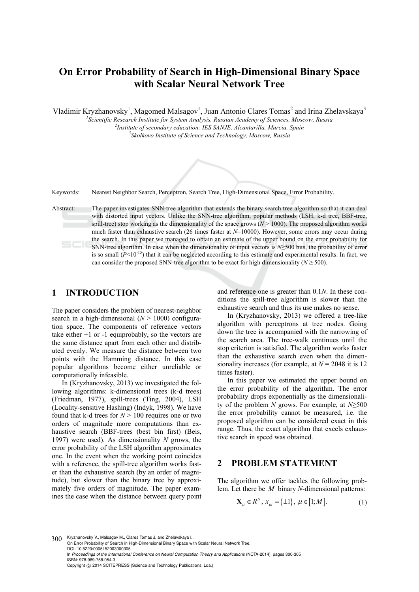# **On Error Probability of Search in High-Dimensional Binary Space with Scalar Neural Network Tree**

Vladimir Kryzhanovsky<sup>1</sup>, Magomed Malsagov<sup>1</sup>, Juan Antonio Clares Tomas<sup>2</sup> and Irina Zhelavskaya<sup>3</sup>

<sup>1</sup><br>
<sup>2</sup> Scientific Research Institute for System Analysis, Russian Academy of Sciences, Moscow, Russia<br>
<sup>2</sup> Institute of secondary education: IES SANIE, Alemanilla, Mureia, Spain *Institute of secondary education: IES SANJE, Alcantarilla, Murcia, Spain 3*

*Skolkovo Institute of Science and Technology, Moscow, Russia* 



Keywords: Nearest Neighbor Search, Perceptron, Search Tree, High-Dimensional Space, Error Probability.

Abstract: The paper investigates SNN-tree algorithm that extends the binary search tree algorithm so that it can deal with distorted input vectors. Unlike the SNN-tree algorithm, popular methods (LSH, k-d tree, BBF-tree, spill-tree) stop working as the dimensionality of the space grows ( $N$  > 1000). The proposed algorithm works much faster than exhaustive search (26 times faster at  $N=10000$ ). However, some errors may occur during the search. In this paper we managed to obtain an estimate of the upper bound on the error probability for SNN-tree algorithm. In case when the dimensionality of input vectors is *N*≥500 bits, the probability of error is so small  $(P<10^{-15})$  that it can be neglected according to this estimate and experimental results. In fact, we can consider the proposed SNN-tree algorithm to be exact for high dimensionality ( $N \geq 500$ ).

### **1 INTRODUCTION**

The paper considers the problem of nearest-neighbor search in a high-dimensional  $(N > 1000)$  configuration space. The components of reference vectors take either  $+1$  or  $-1$  equiprobably, so the vectors are the same distance apart from each other and distributed evenly. We measure the distance between two points with the Hamming distance. In this case popular algorithms become either unreliable or computationally infeasible.

In (Kryzhanovsky, 2013) we investigated the following algorithms: k-dimensional trees (k-d trees) (Friedman, 1977), spill-trees (Ting, 2004), LSH (Locality-sensitive Hashing) (Indyk, 1998). We have found that k-d trees for  $N > 100$  requires one or two orders of magnitude more computations than exhaustive search (BBF-trees (best bin first) (Beis, 1997) were used). As dimensionality *N* grows, the error probability of the LSH algorithm approximates one. In the event when the working point coincides with a reference, the spill-tree algorithm works faster than the exhaustive search (by an order of magnitude), but slower than the binary tree by approximately five orders of magnitude. The paper examines the case when the distance between query point and reference one is greater than 0.1*N*. In these conditions the spill-tree algorithm is slower than the exhaustive search and thus its use makes no sense.

In (Kryzhanovsky, 2013) we offered a tree-like algorithm with perceptrons at tree nodes. Going down the tree is accompanied with the narrowing of the search area. The tree-walk continues until the stop criterion is satisfied. The algorithm works faster than the exhaustive search even when the dimensionality increases (for example, at  $N = 2048$  it is 12 times faster).

In this paper we estimated the upper bound on the error probability of the algorithm. The error probability drops exponentially as the dimensionality of the problem *N* grows. For example, at *N*≥500 the error probability cannot be measured, i.e. the proposed algorithm can be considered exact in this range. Thus, the exact algorithm that excels exhaustive search in speed was obtained.

### **2 PROBLEM STATEMENT**

The algorithm we offer tackles the following problem. Let there be *M* binary *N-*dimensional patterns:

$$
\mathbf{X}_{\mu} \in \mathbb{R}^{N}, \, x_{\mu i} = \{\pm 1\}, \, \mu \in [1; M]. \tag{1}
$$

300 Kryzhanovsky V., Malsagov M., Clares Tomas J. and Zhelavskava I.. On Error Probability of Search in High-Dimensional Binary Space with Scalar Neural Network Tree. DOI: 10.5220/0005152003000305 In *Proceedings of the International Conference on Neural Computation Theory and Applications* (NCTA-2014), pages 300-305 ISBN: 978-989-758-054-3 Copyright © 2014 SCITEPRESS (Science and Technology Publications, Lda.)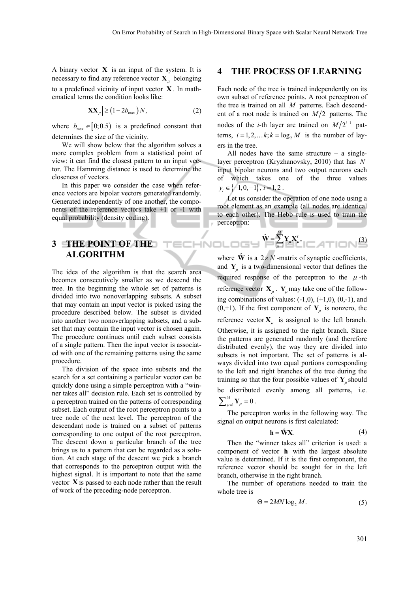A binary vector **X** is an input of the system. It is necessary to find any reference vector  $X_{\mu}$  belonging to a predefined vicinity of input vector **X** . In mathematical terms the condition looks like:

$$
\left| \mathbf{X} \mathbf{X}_{\mu} \right| \ge \left( 1 - 2b_{\max} \right) N, \tag{2}
$$

where  $b_{\text{max}} \in [0;0.5)$  is a predefined constant that determines the size of the vicinity.

We will show below that the algorithm solves a more complex problem from a statistical point of view: it can find the closest pattern to an input vector. The Hamming distance is used to determine the closeness of vectors.

In this paper we consider the case when reference vectors are bipolar vectors generated randomly. Generated independently of one another, the components of the reference vectors take +1 or -1 with equal probability (density coding).

# **3 THE POINT OF THE ALGORITHM**

The idea of the algorithm is that the search area becomes consecutively smaller as we descend the tree. In the beginning the whole set of patterns is divided into two nonoverlapping subsets. A subset that may contain an input vector is picked using the procedure described below. The subset is divided into another two nonoverlapping subsets, and a subset that may contain the input vector is chosen again. The procedure continues until each subset consists of a single pattern. Then the input vector is associated with one of the remaining patterns using the same procedure.

The division of the space into subsets and the search for a set containing a particular vector can be quickly done using a simple perceptron with a "winner takes all" decision rule. Each set is controlled by a perceptron trained on the patterns of corresponding subset. Each output of the root perceptron points to a tree node of the next level. The perceptron of the descendant node is trained on a subset of patterns corresponding to one output of the root perceptron. The descent down a particular branch of the tree brings us to a pattern that can be regarded as a solution. At each stage of the descent we pick a branch that corresponds to the perceptron output with the highest signal. It is important to note that the same vector **X** is passed to each node rather than the result of work of the preceding-node perceptron.

#### **4 THE PROCESS OF LEARNING**

Each node of the tree is trained independently on its own subset of reference points. A root perceptron of the tree is trained on all *M* patterns. Each descendent of a root node is trained on  $M/2$  patterns. The nodes of the *i*-th layer are trained on  $M/2^{i-1}$  patterns,  $i = 1, 2, \dots k$ ;  $k = \log_2 M$  is the number of layers in the tree.

All nodes have the same structure  $-$  a singlelayer perceptron (Kryzhanovsky, 2010) that has *N* input bipolar neurons and two output neurons each of which takes one of the three values  $y_i \in \{-1, 0, +1\}, i = 1, 2$ .

Let us consider the operation of one node using a root element as an example (all nodes are identical to each other). The Hebb rule is used to train the perceptron:

$$
\hat{\mathbf{W}} = \sum_{\mu=1}^{M} \mathbf{Y}_{\mu} \mathbf{X}_{\mu}^{T},
$$
\n(3)

where  $\hat{\mathbf{W}}$  is a 2 × N -matrix of synaptic coefficients, and  $Y_{\mu}$  is a two-dimensional vector that defines the required response of the perceptron to the  $\mu$ -th reference vector  $\mathbf{X}_{\mu}$ .  $\mathbf{Y}_{\mu}$  may take one of the following combinations of values:  $(-1,0)$ ,  $(+1,0)$ ,  $(0,-1)$ , and  $(0, +1)$ . If the first component of  $Y_\mu$  is nonzero, the reference vector  $X_{\mu}$  is assigned to the left branch. Otherwise, it is assigned to the right branch. Since the patterns are generated randomly (and therefore distributed evenly), the way they are divided into subsets is not important. The set of patterns is always divided into two equal portions corresponding to the left and right branches of the tree during the training so that the four possible values of  $Y_{\mu}$  should be distributed evenly among all patterns, i.e.

 $\sum_{\mu=1}^{M} \mathbf{Y}_{\mu} = 0$ .

**ECHNOLOGY** 

The perceptron works in the following way. The signal on output neurons is first calculated:

$$
\mathbf{h} = \hat{\mathbf{W}} \mathbf{X}.\tag{4}
$$

Then the "winner takes all" criterion is used: a component of vector **h** with the largest absolute value is determined. If it is the first component, the reference vector should be sought for in the left branch, otherwise in the right branch.

The number of operations needed to train the whole tree is

$$
\Theta = 2MN \log_2 M. \tag{5}
$$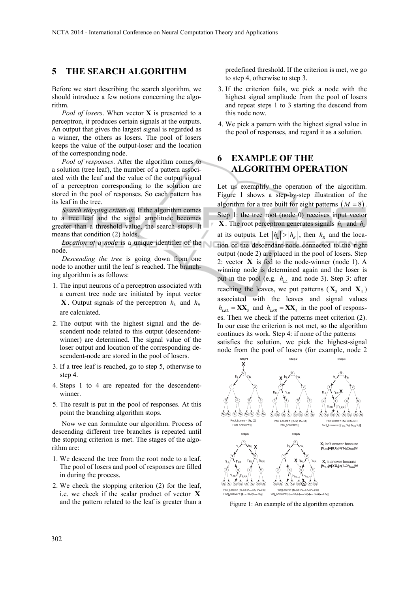### **5 THE SEARCH ALGORITHM**

Before we start describing the search algorithm, we should introduce a few notions concerning the algorithm.

*Pool of losers*. When vector **X** is presented to a perceptron, it produces certain signals at the outputs. An output that gives the largest signal is regarded as a winner, the others as losers. The pool of losers keeps the value of the output-loser and the location of the corresponding node.

*Pool of responses*. After the algorithm comes to a solution (tree leaf), the number of a pattern associated with the leaf and the value of the output signal of a perceptron corresponding to the solution are stored in the pool of responses. So each pattern has its leaf in the tree.

*Search stopping criterion*. If the algorithm comes to a tree leaf and the signal amplitude becomes greater than a threshold value, the search stops. It means that condition (2) holds.

*Location of a node* is a unique identifier of the node.

*Descending the tree* is going down from one node to another until the leaf is reached. The branching algorithm is as follows:

- 1. The input neurons of a perceptron associated with a current tree node are initiated by input vector **X**. Output signals of the perceptron  $h<sub>L</sub>$  and  $h<sub>R</sub>$ are calculated.
- 2. The output with the highest signal and the descendent node related to this output (descendentwinner) are determined. The signal value of the loser output and location of the corresponding descendent-node are stored in the pool of losers.
- 3. If a tree leaf is reached, go to step 5, otherwise to step 4.
- 4. Steps 1 to 4 are repeated for the descendentwinner.
- 5. The result is put in the pool of responses. At this point the branching algorithm stops.

Now we can formulate our algorithm. Process of descending different tree branches is repeated until the stopping criterion is met. The stages of the algorithm are:

- 1. We descend the tree from the root node to a leaf. The pool of losers and pool of responses are filled in during the process.
- 2. We check the stopping criterion (2) for the leaf, i.e. we check if the scalar product of vector **X** and the pattern related to the leaf is greater than a

predefined threshold. If the criterion is met, we go to step 4, otherwise to step 3.

- 3. If the criterion fails, we pick a node with the highest signal amplitude from the pool of losers and repeat steps 1 to 3 starting the descend from this node now.
- 4. We pick a pattern with the highest signal value in the pool of responses, and regard it as a solution.

# **6 EXAMPLE OF THE ALGORITHM OPERATION**

Let us exemplify the operation of the algorithm. Figure 1 shows a step-by-step illustration of the algorithm for a tree built for eight patterns  $(M = 8)$ . Step 1: the tree root (node 0) receives input vector **X**. The root perceptron generates signals  $h_i$  and  $h_k$ at its outputs. Let  $|h_k| > |h_k|$ , then  $h_k$  and the location of the descendant-node connected to the right output (node 2) are placed in the pool of losers. Step 2: vector **X** is fed to the node-winner (node 1). A winning node is determined again and the loser is put in the pool (e.g.  $h_{LL}$  and node 3). Step 3: after reaching the leaves, we put patterns  $(X_3 \text{ and } X_4)$ associated with the leaves and signal values  $h_{LRL} = \mathbf{XX}_3$  and  $h_{LRR} = \mathbf{XX}_4$  in the pool of responses. Then we check if the patterns meet criterion (2). In our case the criterion is not met, so the algorithm continues its work. Step 4: if none of the patterns satisfies the solution, we pick the highest-signal node from the pool of losers (for example, node 2



Figure 1: An example of the algorithm operation.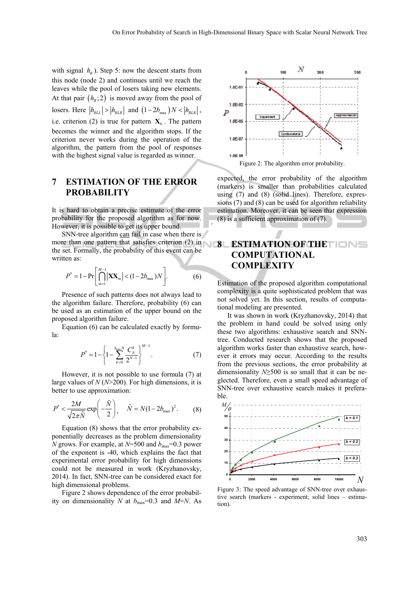with signal  $h_R$ ). Step 5: now the descent starts from this node (node 2) and continues until we reach the leaves while the pool of losers taking new elements. At that pair  $(h_n; 2)$  is moved away from the pool of losers. Here  $|h_{\text{RLL}}| > |h_{\text{RLR}}|$  and  $(1-2b_{\text{max}})N < |h_{\text{RLR}}|$ , i.e. criterion (2) is true for pattern  $X_6$ . The pattern becomes the winner and the algorithm stops. If the criterion never works during the operation of the algorithm, the pattern from the pool of responses with the highest signal value is regarded as winner.

# **7 ESTIMATION OF THE ERROR PROBABILITY**

It is hard to obtain a precise estimate of the error probability for the proposed algorithm as for now. However, it is possible to get its upper bound.

SNN-tree algorithm can fail in case when there is more than one pattern that satisfies criterion  $(2)$  in  $\qquad \qquad$  8 the set. Formally, the probability of this event can be written as:

$$
P^* = 1 - \Pr\bigg[\bigcap_{m=1}^{M-1} \big| \mathbf{X} \mathbf{X}_m \big| < (1 - 2b_{\max})N\bigg].\tag{6}
$$

Presence of such patterns does not always lead to the algorithm failure. Therefore, probability (6) can be used as an estimation of the upper bound on the proposed algorithm failure.

Equation (6) can be calculated exactly by formula:

$$
P^* = 1 - \left\{ 1 - \sum_{k=0}^{\frac{b_{\text{max}}N}{2}} \frac{C_N^k}{2^{N-1}} \right\}^{M-1}.
$$
 (7)

However, it is not possible to use formula (7) at large values of *N* (*N*>200). For high dimensions, it is better to use approximation:

$$
P^* < \frac{2M}{\sqrt{2\pi\tilde{N}}} \exp\left(-\frac{\tilde{N}}{2}\right), \quad \tilde{N} = N(1 - 2b_{\text{max}})^2. \tag{8}
$$

Equation (8) shows that the error probability exponentially decreases as the problem dimensionality *N* grows. For example, at  $N=500$  and  $b_{max}=0.3$  power of the exponent is -40, which explains the fact that experimental error probability for high dimensions could not be measured in work (Kryzhanovsky, 2014). In fact, SNN-tree can be considered exact for high dimensional problems.

Figure 2 shows dependence of the error probability on dimensionality *N* at  $b_{\text{max}}=0.3$  and *M=N*. As



expected, the error probability of the algorithm (markers) is smaller than probabilities calculated using (7) and (8) (solid lines). Therefore, expressions (7) and (8) can be used for algorithm reliability estimation. Moreover, it can be seen that expression (8) is a sufficient approximation of (7).

# **8 ESTIMATION OF THE COMPUTATIONAL COMPLEXITY**

Estimation of the proposed algorithm computational complexity is a quite sophisticated problem that was not solved yet. In this section, results of computational modeling are presented.

It was shown in work (Kryzhanovsky, 2014) that the problem in hand could be solved using only these two algorithms: exhaustive search and SNNtree. Conducted research shows that the proposed algorithm works faster than exhaustive search, however it errors may occur. According to the results from the previous sections, the error probability at dimensionality *N*≥500 is so small that it can be neglected. Therefore, even a small speed advantage of SNN-tree over exhaustive search makes it preferable.



Figure 3: The speed advantage of SNN-tree over exhaustive search (markers - experiment; solid lines – estimation).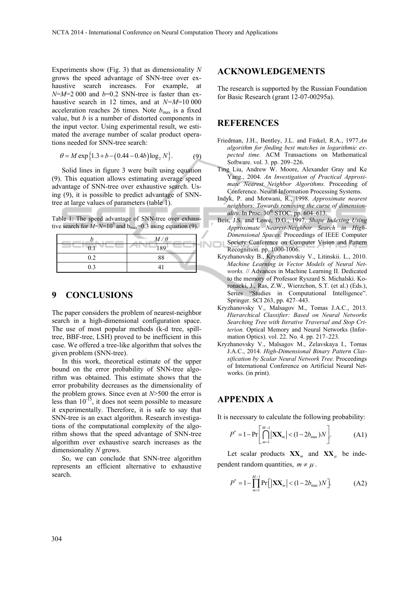Experiments show (Fig. 3) that as dimensionality *N* grows the speed advantage of SNN-tree over exhaustive search increases. For example, at  $N=M=2000$  and  $b=0.2$  SNN-tree is faster than exhaustive search in 12 times, and at *N=M*=10 000 acceleration reaches 26 times. Note  $b_{\text{max}}$  is a fixed value, but *b* is a number of distorted components in the input vector. Using experimental result, we estimated the average number of scalar product operations needed for SNN-tree search:

$$
\theta = M \exp\{1.3 + b - (0.44 - 0.4b)\log_2 N\}.
$$
 (9)

Solid lines in figure 3 were built using equation (9). This equation allows estimating average speed advantage of SNN-tree over exhaustive search. Using (9), it is possible to predict advantage of SNNtree at large values of parameters (table 1).

Table 1: The speed advantage of SNN-tree over exhaustive search for  $M=N=10^5$  and  $b_{\text{max}}=0.3$  using equation (9).

|     | $M/\theta$ |  |
|-----|------------|--|
| 0.1 | 189        |  |
| 0.2 | 88         |  |
| 0.3 |            |  |

#### **9 CONCLUSIONS**

The paper considers the problem of nearest-neighbor search in a high-dimensional configuration space. The use of most popular methods (k-d tree, spilltree, BBF-tree, LSH) proved to be inefficient in this case. We offered a tree-like algorithm that solves the given problem (SNN-tree).

In this work, theoretical estimate of the upper bound on the error probability of SNN-tree algorithm was obtained. This estimate shows that the error probability decreases as the dimensionality of the problem grows. Since even at *N*>500 the error is less than  $10^{-15}$ , it does not seem possible to measure it experimentally. Therefore, it is safe to say that SNN-tree is an exact algorithm. Research investigations of the computational complexity of the algorithm shows that the speed advantage of SNN-tree algorithm over exhaustive search increases as the dimensionality *N* grows.

So, we can conclude that SNN-tree algorithm represents an efficient alternative to exhaustive search.

#### **ACKNOWLEDGEMENTS**

The research is supported by the Russian Foundation for Basic Research (grant 12-07-00295a).

### **REFERENCES**

- Friedman, J.H., Bentley, J.L. and Finkel, R.A., 1977.*An algorithm for finding best matches in logarithmic expected time.* ACM Transactions on Mathematical Software. vol. 3. pp. 209–226.
- Ting Liu, Andrew W. Moore, Alexander Gray and Ke Yang., 2004. *An Investigation of Practical Approximate Nearest Neighbor Algorithms.* Proceeding of Conference. Neural Information Processing Systems.
- Indyk, P. and Motwani, R., 1998. *Approximate nearest neighbors: Towards removing the curse of dimensionality*. In Proc.  $30<sup>th</sup>$  STOC. pp.  $604-613$ .
- Beis, J.S. and Lowe, D.G., 1997. *Shape Indexing Using Approximate Nearest-Neighbor Search in High-Dimensional Spaces*. Proceedings of IEEE Computer Society Conference on Computer Vision and Pattern NOL Recognition. pp. 1000-1006.
	- Kryzhanovsky B., Kryzhanovskiy V., Litinskii. L., 2010. *Machine Learning in Vector Models of Neural Networks.* // Advances in Machine Learning II. Dedicated to the memory of Professor Ryszard S. Michalski. Koronacki, J., Ras, Z.W., Wierzchon, S.T. (et al.) (Eds.), Series "Studies in Computational Intelligence". Springer. SCI 263, pp. 427–443.
	- Kryzhanovsky V., Malsagov M., Tomas J.A.C., 2013. *Hierarchical Classifier: Based on Neural Networks Searching Tree with Iterative Traversal and Stop Criterion.* Optical Memory and Neural Networks (Information Optics). vol. 22. No. 4. pp. 217–223.
	- Kryzhanovsky V., Malsagov M., Zelavskaya I., Tomas J.A.C., 2014. *High-Dimensional Binary Pattern Classification by Scalar Neural Network Tree.* Proceedings of International Conference on Artificial Neural Networks. (in print).

# **APPENDIX A**

It is necessary to calculate the following probability:

$$
P^* = 1 - \Pr\left[\bigcap_{m=1}^{M-1} |\mathbf{XX}_m| < (1 - 2b_{\max})N\right].\tag{A1}
$$

Let scalar products  $XX_m$  and  $XX_u$  be independent random quantities,  $m \neq \mu$ .

$$
P^* = 1 - \prod_{m=1}^{M-1} \Pr\Big[|\mathbf{XX}_m| < (1 - 2b_{\max})N\Big].\tag{A2}
$$